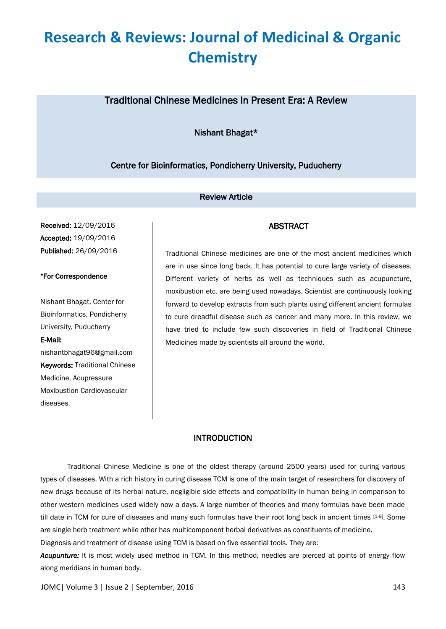### Traditional Chinese Medicines in Present Era: A Review

Nishant Bhagat\*

Centre for Bioinformatics, Pondicherry University, Puducherry

#### Review Article

Received: 12/09/2016 Accepted: 19/09/2016 Published: 26/09/2016

#### \*For Correspondence

Nishant Bhagat, Center for Bioinformatics, Pondicherry University, Puducherry

#### E-Mail:

nishantbhagat96@gmail.com Keywords: Traditional Chinese Medicine, Acupressure Moxibustion Cardiovascular diseases.

Traditional Chinese medicines are one of the most ancient medicines which are in use since long back. It has potential to cure large variety of diseases. Different variety of herbs as well as techniques such as acupuncture, moxibustion etc. are being used nowadays. Scientist are continuously looking forward to develop extracts from such plants using different ancient formulas to cure dreadful disease such as cancer and many more. In this review, we have tried to include few such discoveries in field of Traditional Chinese Medicines made by scientists all around the world.

ABSTRACT

#### INTRODUCTION

Traditional Chinese Medicine is one of the oldest therapy (around 2500 years) used for curing various types of diseases. With a rich history in curing disease TCM is one of the main target of researchers for discovery of new drugs because of its herbal nature, negligible side effects and compatibility in human being in comparison to other western medicines used widely now a days. A large number of theories and many formulas have been made till date in TCM for cure of diseases and many such formulas have their root long back in ancient times [1-9]. Some are single herb treatment while other has multicomponent herbal derivatives as constituents of medicine.

Diagnosis and treatment of disease using TCM is based on five essential tools. They are:

*Acupunture:* It is most widely used method in TCM. In this method, needles are pierced at points of energy flow along meridians in human body.

JOMC| Volume 3 | Issue 2 | September, 2016 143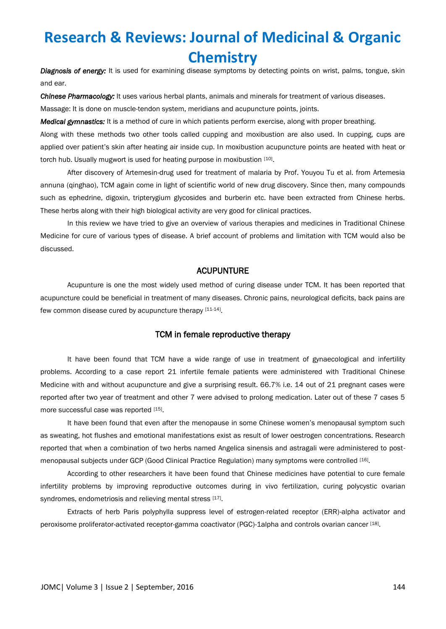*Diagnosis of energy:* It is used for examining disease symptoms by detecting points on wrist, palms, tongue, skin and ear.

*Chinese Pharmacology:* It uses various herbal plants, animals and minerals for treatment of various diseases.

Massage: It is done on muscle-tendon system, meridians and acupuncture points, joints.

*Medical gymnastics:* It is a method of cure in which patients perform exercise, along with proper breathing.

Along with these methods two other tools called cupping and moxibustion are also used. In cupping, cups are applied over patient's skin after heating air inside cup. In moxibustion acupuncture points are heated with heat or torch hub. Usually mugwort is used for heating purpose in moxibustion [10].

After discovery of Artemesin-drug used for treatment of malaria by Prof. Youyou Tu et al. from Artemesia annuna (qinghao), TCM again come in light of scientific world of new drug discovery. Since then, many compounds such as ephedrine, digoxin, tripterygium glycosides and burberin etc. have been extracted from Chinese herbs. These herbs along with their high biological activity are very good for clinical practices.

In this review we have tried to give an overview of various therapies and medicines in Traditional Chinese Medicine for cure of various types of disease. A brief account of problems and limitation with TCM would also be discussed.

#### ACUPUNTURE

Acupunture is one the most widely used method of curing disease under TCM. It has been reported that acupuncture could be beneficial in treatment of many diseases. Chronic pains, neurological deficits, back pains are few common disease cured by acupuncture therapy [11-14].

#### TCM in female reproductive therapy

It have been found that TCM have a wide range of use in treatment of gynaecological and infertility problems. According to a case report 21 infertile female patients were administered with Traditional Chinese Medicine with and without acupuncture and give a surprising result. 66.7% i.e. 14 out of 21 pregnant cases were reported after two year of treatment and other 7 were advised to prolong medication. Later out of these 7 cases 5 more successful case was reported [15].

It have been found that even after the menopause in some Chinese women's menopausal symptom such as sweating, hot flushes and emotional manifestations exist as result of lower oestrogen concentrations. Research reported that when a combination of two herbs named Angelica sinensis and astragali were administered to postmenopausal subjects under GCP (Good Clinical Practice Regulation) many symptoms were controlled [16].

According to other researchers it have been found that Chinese medicines have potential to cure female infertility problems by improving reproductive outcomes during in vivo fertilization, curing polycystic ovarian syndromes, endometriosis and relieving mental stress [17].

Extracts of herb Paris polyphylla suppress level of estrogen-related receptor (ERR)-alpha activator and peroxisome proliferator-activated receptor-gamma coactivator (PGC)-1alpha and controls ovarian cancer [18].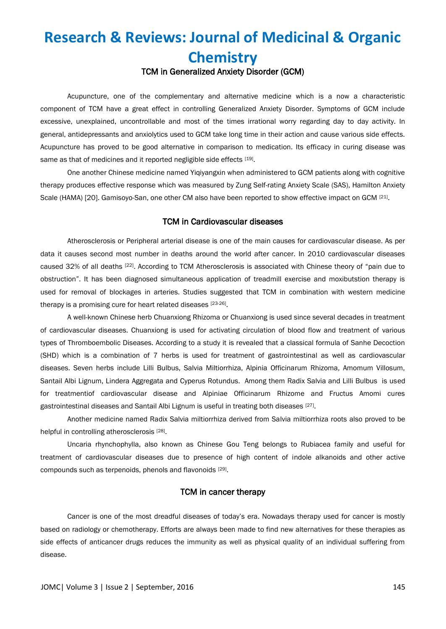### **Research & Reviews: Journal of Medicinal & Organic Chemistry** TCM in Generalized Anxiety Disorder (GCM)

Acupuncture, one of the complementary and alternative medicine which is a now a characteristic component of TCM have a great effect in controlling Generalized Anxiety Disorder. Symptoms of GCM include excessive, unexplained, uncontrollable and most of the times irrational worry regarding day to day activity. In general, antidepressants and anxiolytics used to GCM take long time in their action and cause various side effects. Acupuncture has proved to be good alternative in comparison to medication. Its efficacy in curing disease was same as that of medicines and it reported negligible side effects [19].

One another Chinese medicine named Yiqiyangxin when administered to GCM patients along with cognitive therapy produces effective response which was measured by Zung Self-rating Anxiety Scale (SAS), Hamilton Anxiety Scale (HAMA) [20]. Gamisoyo-San, one other CM also have been reported to show effective impact on GCM [21].

#### TCM in Cardiovascular diseases

Atherosclerosis or Peripheral arterial disease is one of the main causes for cardiovascular disease. As per data it causes second most number in deaths around the world after cancer. In 2010 cardiovascular diseases caused 32% of all deaths [22]. According to TCM Atherosclerosis is associated with Chinese theory of "pain due to obstruction". It has been diagnosed simultaneous application of treadmill exercise and moxibutstion therapy is used for removal of blockages in arteries. Studies suggested that TCM in combination with western medicine therapy is a promising cure for heart related diseases [23-26].

A well-known Chinese herb Chuanxiong Rhizoma or Chuanxiong is used since several decades in treatment of cardiovascular diseases. Chuanxiong is used for activating circulation of blood flow and treatment of various types of Thromboembolic Diseases. According to a study it is revealed that a classical formula of Sanhe Decoction (SHD) which is a combination of 7 herbs is used for treatment of gastrointestinal as well as cardiovascular diseases. Seven herbs include Lilli Bulbus, Salvia Miltiorrhiza, Alpinia Officinarum Rhizoma, Amomum Villosum, Santail Albi Lignum, Lindera Aggregata and Cyperus Rotundus. Among them Radix Salvia and Lilli Bulbus is used for treatmentiof cardiovascular disease and Alpiniae Officinarum Rhizome and Fructus Amomi cures gastrointestinal diseases and Santail Albi Lignum is useful in treating both diseases [27].

Another medicine named Radix Salvia miltiorrhiza derived from Salvia miltiorrhiza roots also proved to be helpful in controlling atherosclerosis<sup>[28]</sup>.

Uncaria rhynchophylla, also known as Chinese Gou Teng belongs to Rubiacea family and useful for treatment of cardiovascular diseases due to presence of high content of indole alkanoids and other active compounds such as terpenoids, phenols and flavonoids [29].

#### TCM in cancer therapy

Cancer is one of the most dreadful diseases of today's era. Nowadays therapy used for cancer is mostly based on radiology or chemotherapy. Efforts are always been made to find new alternatives for these therapies as side effects of anticancer drugs reduces the immunity as well as physical quality of an individual suffering from disease.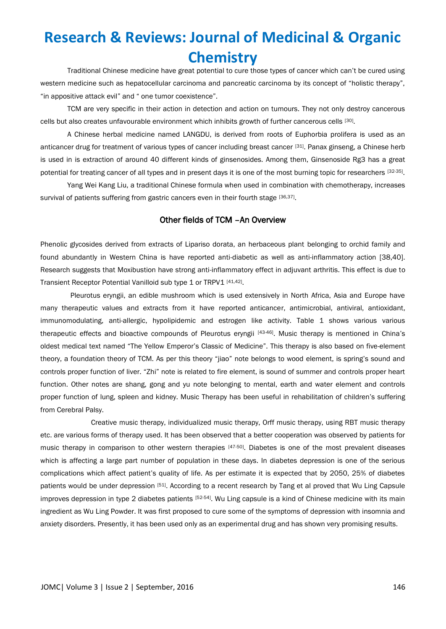Traditional Chinese medicine have great potential to cure those types of cancer which can't be cured using western medicine such as hepatocellular carcinoma and pancreatic carcinoma by its concept of "holistic therapy", "in appositive attack evil" and " one tumor coexistence".

TCM are very specific in their action in detection and action on tumours. They not only destroy cancerous cells but also creates unfavourable environment which inhibits growth of further cancerous cells [30].

A Chinese herbal medicine named LANGDU, is derived from roots of Euphorbia prolifera is used as an anticancer drug for treatment of various types of cancer including breast cancer [31]. Panax ginseng, a Chinese herb is used in is extraction of around 40 different kinds of ginsenosides. Among them, Ginsenoside Rg3 has a great potential for treating cancer of all types and in present days it is one of the most burning topic for researchers [32-35].

 Yang Wei Kang Liu, a traditional Chinese formula when used in combination with chemotherapy, increases survival of patients suffering from gastric cancers even in their fourth stage [36,37].

#### Other fields of TCM –An Overview

Phenolic glycosides derived from extracts of Lipariso dorata, an herbaceous plant belonging to orchid family and found abundantly in Western China is have reported anti-diabetic as well as anti-inflammatory action [38,40]. Research suggests that Moxibustion have strong anti-inflammatory effect in adjuvant arthritis. This effect is due to Transient Receptor Potential Vanilloid sub type 1 or TRPV1 [41,42].

 Pleurotus eryngii, an edible mushroom which is used extensively in North Africa, Asia and Europe have many therapeutic values and extracts from it have reported anticancer, antimicrobial, antiviral, antioxidant, immunomodulating, anti-allergic, hypolipidemic and estrogen like activity. Table 1 shows various various therapeutic effects and bioactive compounds of Pleurotus eryngii <sup>[43-46]</sup>. Music therapy is mentioned in China's oldest medical text named "The Yellow Emperor's Classic of Medicine". This therapy is also based on five-element theory, a foundation theory of TCM. As per this theory "jiao" note belongs to wood element, is spring's sound and controls proper function of liver. "Zhi" note is related to fire element, is sound of summer and controls proper heart function. Other notes are shang, gong and yu note belonging to mental, earth and water element and controls proper function of lung, spleen and kidney. Music Therapy has been useful in rehabilitation of children's suffering from Cerebral Palsy.

 Creative music therapy, individualized music therapy, Orff music therapy, using RBT music therapy etc. are various forms of therapy used. It has been observed that a better cooperation was observed by patients for music therapy in comparison to other western therapies [47-50]. Diabetes is one of the most prevalent diseases which is affecting a large part number of population in these days. In diabetes depression is one of the serious complications which affect patient's quality of life. As per estimate it is expected that by 2050, 25% of diabetes patients would be under depression [51]. According to a recent research by Tang et al proved that Wu Ling Capsule improves depression in type 2 diabetes patients [52-54]. Wu Ling capsule is a kind of Chinese medicine with its main ingredient as Wu Ling Powder. It was first proposed to cure some of the symptoms of depression with insomnia and anxiety disorders. Presently, it has been used only as an experimental drug and has shown very promising results.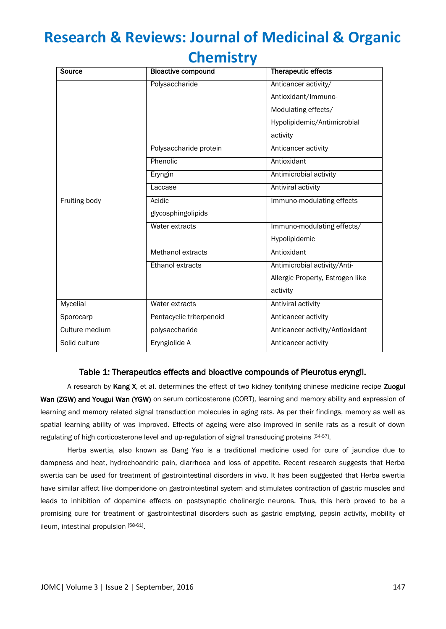### **Chemistry**

| Source          | <b>Bioactive compound</b> | Therapeutic effects              |
|-----------------|---------------------------|----------------------------------|
|                 | Polysaccharide            | Anticancer activity/             |
|                 |                           | Antioxidant/Immuno-              |
| Fruiting body   |                           | Modulating effects/              |
|                 |                           | Hypolipidemic/Antimicrobial      |
|                 |                           | activity                         |
|                 | Polysaccharide protein    | Anticancer activity              |
|                 | Phenolic                  | Antioxidant                      |
|                 | Eryngin                   | Antimicrobial activity           |
|                 | Laccase                   | Antiviral activity               |
|                 | Acidic                    | Immuno-modulating effects        |
|                 | glycosphingolipids        |                                  |
|                 | Water extracts            | Immuno-modulating effects/       |
|                 |                           | Hypolipidemic                    |
|                 | Methanol extracts         | Antioxidant                      |
|                 | Ethanol extracts          | Antimicrobial activity/Anti-     |
|                 |                           | Allergic Property, Estrogen like |
|                 |                           | activity                         |
| <b>Mycelial</b> | Water extracts            | Antiviral activity               |
| Sporocarp       | Pentacyclic triterpenoid  | Anticancer activity              |
| Culture medium  | polysaccharide            | Anticancer activity/Antioxidant  |
| Solid culture   | Eryngiolide A             | Anticancer activity              |

#### Table 1: Therapeutics effects and bioactive compounds of Pleurotus eryngii.

A research by Kang X, et al. determines the effect of two kidney tonifying chinese medicine recipe Zuogui Wan (ZGW) and Yougui Wan (YGW) on serum corticosterone (CORT), learning and memory ability and expression of learning and memory related signal transduction molecules in aging rats. As per their findings, memory as well as spatial learning ability of was improved. Effects of ageing were also improved in senile rats as a result of down regulating of high corticosterone level and up-regulation of signal transducing proteins [54-57].

Herba swertia, also known as Dang Yao is a traditional medicine used for cure of jaundice due to dampness and heat, hydrochoandric pain, diarrhoea and loss of appetite. Recent research suggests that Herba swertia can be used for treatment of gastrointestinal disorders in vivo. It has been suggested that Herba swertia have similar affect like domperidone on gastrointestinal system and stimulates contraction of gastric muscles and leads to inhibition of dopamine effects on postsynaptic cholinergic neurons. Thus, this herb proved to be a promising cure for treatment of gastrointestinal disorders such as gastric emptying, pepsin activity, mobility of ileum, intestinal propulsion [58-61].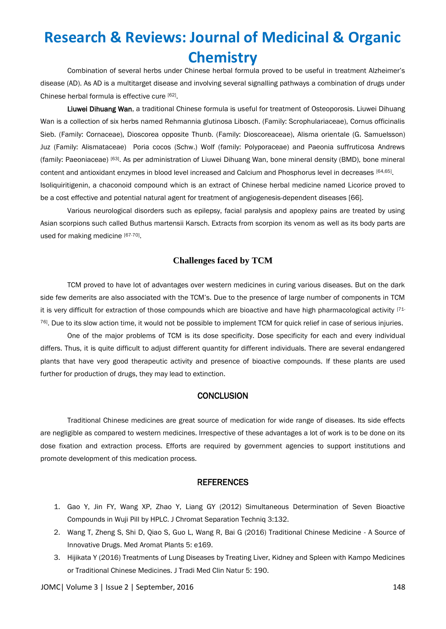Combination of several herbs under Chinese herbal formula proved to be useful in treatment Alzheimer's disease (AD). As AD is a multitarget disease and involving several signalling pathways a combination of drugs under Chinese herbal formula is effective cure [62].

Liuwei Dihuang Wan, a traditional Chinese formula is useful for treatment of Osteoporosis. Liuwei Dihuang Wan is a collection of six herbs named Rehmannia glutinosa Libosch. (Family: Scrophulariaceae), Cornus officinalis Sieb. (Family: Cornaceae), Dioscorea opposite Thunb. (Family: Dioscoreaceae), Alisma orientale (G. Samuelsson) Juz (Family: Alismataceae) Poria cocos (Schw.) Wolf (family: Polyporaceae) and Paeonia suffruticosa Andrews (family: Paeoniaceae) [63]. As per administration of Liuwei Dihuang Wan, bone mineral density (BMD), bone mineral content and antioxidant enzymes in blood level increased and Calcium and Phosphorus level in decreases [64,65]. Isoliquiritigenin, a chaconoid compound which is an extract of Chinese herbal medicine named Licorice proved to be a cost effective and potential natural agent for treatment of angiogenesis-dependent diseases [66].

Various neurological disorders such as epilepsy, facial paralysis and apoplexy pains are treated by using Asian scorpions such called Buthus martensii Karsch. Extracts from scorpion its venom as well as its body parts are used for making medicine [67-70].

#### **Challenges faced by TCM**

TCM proved to have lot of advantages over western medicines in curing various diseases. But on the dark side few demerits are also associated with the TCM's. Due to the presence of large number of components in TCM it is very difficult for extraction of those compounds which are bioactive and have high pharmacological activity [71- 76]. Due to its slow action time, it would not be possible to implement TCM for quick relief in case of serious injuries.

One of the major problems of TCM is its dose specificity. Dose specificity for each and every individual differs. Thus, it is quite difficult to adjust different quantity for different individuals. There are several endangered plants that have very good therapeutic activity and presence of bioactive compounds. If these plants are used further for production of drugs, they may lead to extinction.

#### **CONCLUSION**

Traditional Chinese medicines are great source of medication for wide range of diseases. Its side effects are negligible as compared to western medicines. Irrespective of these advantages a lot of work is to be done on its dose fixation and extraction process. Efforts are required by government agencies to support institutions and promote development of this medication process.

#### **REFERENCES**

- 1. Gao Y, Jin FY, Wang XP, Zhao Y, Liang GY (2012) Simultaneous Determination of Seven Bioactive Compounds in Wuji Pill by HPLC. J Chromat Separation Techniq 3:132.
- 2. Wang T, Zheng S, Shi D, Qiao S, Guo L, Wang R, Bai G (2016) Traditional Chinese Medicine A Source of Innovative Drugs. Med Aromat Plants 5: e169.
- 3. Hijikata Y (2016) Treatments of Lung Diseases by Treating Liver, Kidney and Spleen with Kampo Medicines or Traditional Chinese Medicines. J Tradi Med Clin Natur 5: 190.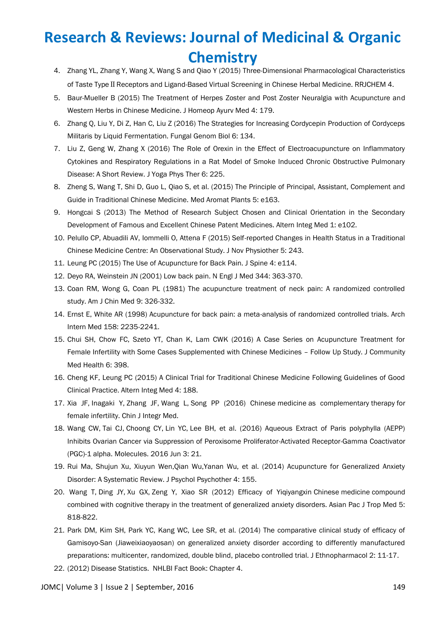- 4. Zhang YL, Zhang Y, Wang X, Wang S and Qiao Y (2015) Three-Dimensional Pharmacological Characteristics of Taste Type II Receptors and Ligand-Based Virtual Screening in Chinese Herbal Medicine. RRJCHEM 4.
- 5. Baur-Mueller B (2015) The Treatment of Herpes Zoster and Post Zoster Neuralgia with Acupuncture and Western Herbs in Chinese Medicine. J Homeop Ayurv Med 4: 179.
- 6. Zhang Q, Liu Y, Di Z, Han C, Liu Z (2016) The Strategies for Increasing Cordycepin Production of Cordyceps Militaris by Liquid Fermentation. Fungal Genom Biol 6: 134.
- 7. Liu Z, Geng W, Zhang X (2016) The Role of Orexin in the Effect of Electroacupuncture on Inflammatory Cytokines and Respiratory Regulations in a Rat Model of Smoke Induced Chronic Obstructive Pulmonary Disease: A Short Review. J Yoga Phys Ther 6: 225.
- 8. Zheng S, Wang T, Shi D, Guo L, Qiao S, et al. (2015) The Principle of Principal, Assistant, Complement and Guide in Traditional Chinese Medicine. Med Aromat Plants 5: e163.
- 9. Hongcai S (2013) The Method of Research Subject Chosen and Clinical Orientation in the Secondary Development of Famous and Excellent Chinese Patent Medicines. Altern Integ Med 1: e102.
- 10. Pelullo CP, Abuadili AV, Iommelli O, Attena F (2015) Self-reported Changes in Health Status in a Traditional Chinese Medicine Centre: An Observational Study. J Nov Physiother 5: 243.
- 11. Leung PC (2015) The Use of Acupuncture for Back Pain. J Spine 4: e114.
- 12. Deyo RA, Weinstein JN (2001) Low back pain. N Engl J Med 344: 363-370.
- 13. Coan RM, Wong G, Coan PL (1981) The acupuncture treatment of neck pain: A randomized controlled study. Am J Chin Med 9: 326-332.
- 14. Ernst E, White AR (1998) Acupuncture for back pain: a meta-analysis of randomized controlled trials. Arch Intern Med 158: 2235-2241.
- 15. Chui SH, Chow FC, Szeto YT, Chan K, Lam CWK (2016) A Case Series on Acupuncture Treatment for Female Infertility with Some Cases Supplemented with Chinese Medicines – Follow Up Study. J Community Med Health 6: 398.
- 16. Cheng KF, Leung PC (2015) A Clinical Trial for Traditional Chinese Medicine Following Guidelines of Good Clinical Practice. Altern Integ Med 4: 188.
- 17. Xia JF, Inagaki Y, Zhang JF, Wang L, [Song PP](http://www.ncbi.nlm.nih.gov/pubmed/?term=Song%20PP%5BAuthor%5D&cauthor=true&cauthor_uid=27484764) (2016) Chinese medicine as complementary therapy for female infertility. Chin J Integr Med.
- 18. [Wang CW,](http://www.ncbi.nlm.nih.gov/pubmed/?term=Wang%20CW%5BAuthor%5D&cauthor=true&cauthor_uid=27271583) [Tai CJ,](http://www.ncbi.nlm.nih.gov/pubmed/?term=Tai%20CJ%5BAuthor%5D&cauthor=true&cauthor_uid=27271583) [Choong CY,](http://www.ncbi.nlm.nih.gov/pubmed/?term=Choong%20CY%5BAuthor%5D&cauthor=true&cauthor_uid=27271583) [Lin YC,](http://www.ncbi.nlm.nih.gov/pubmed/?term=Lin%20YC%5BAuthor%5D&cauthor=true&cauthor_uid=27271583) [Lee BH,](http://www.ncbi.nlm.nih.gov/pubmed/?term=Lee%20BH%5BAuthor%5D&cauthor=true&cauthor_uid=27271583) et al. (2016) Aqueous Extract of Paris polyphylla (AEPP) Inhibits Ovarian Cancer via Suppression of Peroxisome Proliferator-Activated Receptor-Gamma Coactivator (PGC)-1 alpha. [Molecules.](http://www.ncbi.nlm.nih.gov/pubmed/27271583) 2016 Jun 3: 21.
- 19. Rui Ma, Shujun Xu, Xiuyun Wen,Qian Wu,Yanan Wu, et al. (2014) Acupuncture for Generalized Anxiety Disorder: A Systematic Review. J Psychol Psychother 4: 155.
- 20. Wang T, Ding JY, Xu GX, Zeng Y, Xiao SR (2012) Efficacy of Yiqiyangxin Chinese medicine compound combined with cognitive therapy in the treatment of generalized anxiety disorders. Asian Pac J Trop Med 5: 818-822.
- 21. Park DM, Kim SH, Park YC, Kang WC, Lee SR, et al. (2014) The comparative clinical study of efficacy of Gamisoyo-San (Jiaweixiaoyaosan) on generalized anxiety disorder according to differently manufactured preparations: multicenter, randomized, double blind, placebo controlled trial. J Ethnopharmacol 2: 11-17.
- 22. (2012) Disease Statistics. NHLBI Fact Book: Chapter 4.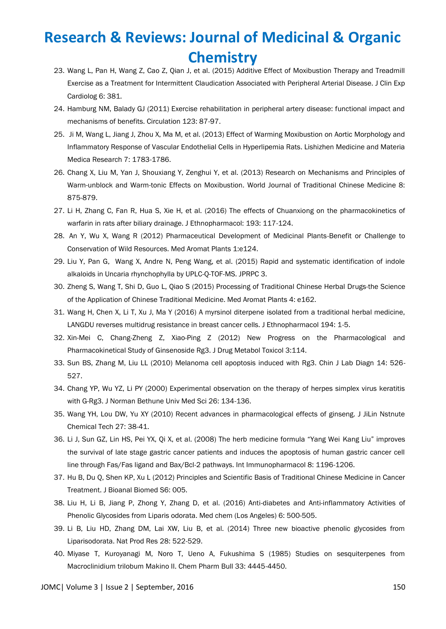- 23. Wang L, Pan H, Wang Z, Cao Z, Qian J, et al. (2015) Additive Effect of Moxibustion Therapy and Treadmill Exercise as a Treatment for Intermittent Claudication Associated with Peripheral Arterial Disease. J Clin Exp Cardiolog 6: 381.
- 24. Hamburg NM, Balady GJ (2011) Exercise rehabilitation in peripheral artery disease: functional impact and mechanisms of benefits. Circulation 123: 87-97.
- 25. Ji M, Wang L, Jiang J, Zhou X, Ma M, et al. (2013) Effect of Warming Moxibustion on Aortic Morphology and Inflammatory Response of Vascular Endothelial Cells in Hyperlipemia Rats. Lishizhen Medicine and Materia Medica Research 7: 1783-1786.
- 26. Chang X, Liu M, Yan J, Shouxiang Y, Zenghui Y, et al. (2013) Research on Mechanisms and Principles of Warm-unblock and Warm-tonic Effects on Moxibustion. World Journal of Traditional Chinese Medicine 8: 875-879.
- 27. Li H, Zhang C, Fan R, Hua S, Xie H, et al. (2016) The effects of Chuanxiong on the pharmacokinetics of warfarin in rats after biliary drainage. J Ethnopharmacol: 193: 117-124.
- 28. An Y, Wu X, Wang R (2012) Pharmaceutical Development of Medicinal Plants-Benefit or Challenge to Conservation of Wild Resources. Med Aromat Plants 1:e124.
- 29. Liu Y, Pan G, Wang X, Andre N, Peng Wang, et al. (2015) Rapid and systematic identification of indole alkaloids in Uncaria rhynchophylla by UPLC-Q-TOF-MS. JPRPC 3.
- 30. Zheng S, Wang T, Shi D, Guo L, Qiao S (2015) Processing of Traditional Chinese Herbal Drugs-the Science of the Application of Chinese Traditional Medicine. Med Aromat Plants 4: e162.
- 31. Wang H, Chen X, Li T, Xu J, Ma Y (2016) A myrsinol diterpene isolated from a traditional herbal medicine, LANGDU reverses multidrug resistance in breast cancer cells. J Ethnopharmacol 194: 1-5.
- 32. Xin-Mei C, Chang-Zheng Z, Xiao-Ping Z (2012) New Progress on the Pharmacological and Pharmacokinetical Study of Ginsenoside Rg3. J Drug Metabol Toxicol 3:114.
- 33. Sun BS, Zhang M, Liu LL (2010) Melanoma cell apoptosis induced with Rg3. Chin J Lab Diagn 14: 526- 527.
- 34. Chang YP, Wu YZ, Li PY (2000) Experimental observation on the therapy of herpes simplex virus keratitis with G-Rg3. J Norman Bethune Univ Med Sci 26: 134-136.
- 35. Wang YH, Lou DW, Yu XY (2010) Recent advances in pharmacological effects of ginseng. J JiLin Nstnute Chemical Tech 27: 38-41.
- 36. Li J, Sun GZ, Lin HS, Pei YX, Qi X, et al. (2008) The herb medicine formula "Yang Wei Kang Liu" improves the survival of late stage gastric cancer patients and induces the apoptosis of human gastric cancer cell line through Fas/Fas ligand and Bax/Bcl-2 pathways. Int Immunopharmacol 8: 1196-1206.
- 37. Hu B, Du Q, Shen KP, Xu L (2012) Principles and Scientific Basis of Traditional Chinese Medicine in Cancer Treatment. J Bioanal Biomed S6: 005.
- 38. Liu H, Li B, Jiang P, Zhong Y, Zhang D, et al. (2016) Anti-diabetes and Anti-inflammatory Activities of Phenolic Glycosides from Liparis odorata. Med chem (Los Angeles) 6: 500-505.
- 39. Li B, Liu HD, Zhang DM, Lai XW, Liu B, et al. (2014) Three new bioactive phenolic glycosides from Liparisodorata. Nat Prod Res 28: 522-529.
- 40. Miyase T, Kuroyanagi M, Noro T, Ueno A, Fukushima S (1985) Studies on sesquiterpenes from Macroclinidium trilobum Makino II. Chem Pharm Bull 33: 4445-4450.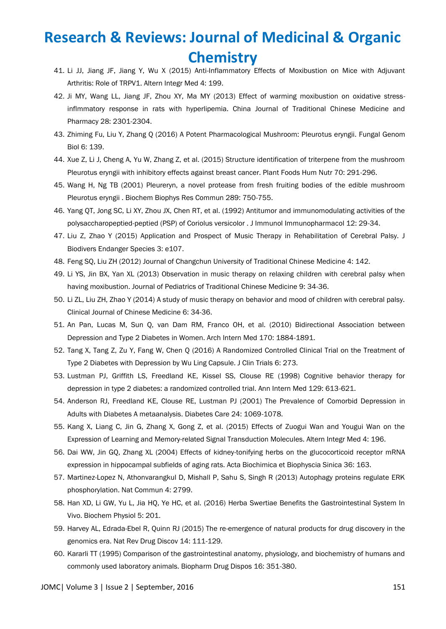- 41. Li JJ, Jiang JF, Jiang Y, Wu X (2015) Anti-Inflammatory Effects of Moxibustion on Mice with Adjuvant Arthritis: Role of TRPV1. Altern Integr Med 4: 199.
- 42. Ji MY, Wang LL, Jiang JF, Zhou XY, Ma MY (2013) Effect of warming moxibustion on oxidative stressinflmmatory response in rats with hyperlipemia. China Journal of Traditional Chinese Medicine and Pharmacy 28: 2301-2304.
- 43. Zhiming Fu, Liu Y, Zhang Q (2016) A Potent Pharmacological Mushroom: Pleurotus eryngii. Fungal Genom Biol 6: 139.
- 44. Xue Z, Li J, Cheng A, Yu W, Zhang Z, et al. (2015) Structure identification of triterpene from the mushroom Pleurotus eryngii with inhibitory effects against breast cancer. Plant Foods Hum Nutr 70: 291-296.
- 45. Wang H, Ng TB (2001) Pleureryn, a novel protease from fresh fruiting bodies of the edible mushroom Pleurotus eryngii . Biochem Biophys Res Commun 289: 750-755.
- 46. Yang QT, Jong SC, Li XY, Zhou JX, Chen RT, et al. (1992) Antitumor and immunomodulating activities of the polysaccharopeptied-peptied (PSP) of Coriolus versicolor . J Immunol Immunopharmacol 12: 29-34.
- 47. Liu Z, Zhao Y (2015) Application and Prospect of Music Therapy in Rehabilitation of Cerebral Palsy. J Biodivers Endanger Species 3: e107.
- 48. Feng SQ, Liu ZH (2012) Journal of Changchun University of Traditional Chinese Medicine 4: 142.
- 49. Li YS, Jin BX, Yan XL (2013) Observation in music therapy on relaxing children with cerebral palsy when having moxibustion. Journal of Pediatrics of Traditional Chinese Medicine 9: 34-36.
- 50. Li ZL, Liu ZH, Zhao Y (2014) A study of music therapy on behavior and mood of children with cerebral palsy. Clinical Journal of Chinese Medicine 6: 34-36.
- 51. An Pan, Lucas M, Sun Q, van Dam RM, Franco OH, et al. (2010) Bidirectional Association between Depression and Type 2 Diabetes in Women. Arch Intern Med 170: 1884-1891.
- 52. Tang X, Tang Z, Zu Y, Fang W, Chen Q (2016) A Randomized Controlled Clinical Trial on the Treatment of Type 2 Diabetes with Depression by Wu Ling Capsule. J Clin Trials 6: 273.
- 53. Lustman PJ, Griffith LS, Freedland KE, Kissel SS, Clouse RE (1998) Cognitive behavior therapy for depression in type 2 diabetes: a randomized controlled trial. Ann Intern Med 129: 613-621.
- 54. Anderson RJ, Freedland KE, Clouse RE, Lustman PJ (2001) The Prevalence of Comorbid Depression in Adults with Diabetes A metaanalysis. Diabetes Care 24: 1069-1078.
- 55. Kang X, Liang C, Jin G, Zhang X, Gong Z, et al. (2015) Effects of Zuogui Wan and Yougui Wan on the Expression of Learning and Memory-related Signal Transduction Molecules. Altern Integr Med 4: 196.
- 56. Dai WW, Jin GQ, Zhang XL (2004) Effects of kidney-tonifying herbs on the glucocorticoid receptor mRNA expression in hippocampal subfields of aging rats. Acta Biochimica et Biophyscia Sinica 36: 163.
- 57. Martinez-Lopez N, Athonvarangkul D, Mishall P, Sahu S, Singh R (2013) Autophagy proteins regulate ERK phosphorylation. Nat Commun 4: 2799.
- 58. Han XD, Li GW, Yu L, Jia HQ, Ye HC, et al. (2016) Herba Swertiae Benefits the Gastrointestinal System In Vivo. Biochem Physiol 5: 201.
- 59. Harvey AL, Edrada-Ebel R, Quinn RJ (2015) The re-emergence of natural products for drug discovery in the genomics era. Nat Rev Drug Discov 14: 111-129.
- 60. Kararli TT (1995) Comparison of the gastrointestinal anatomy, physiology, and biochemistry of humans and commonly used laboratory animals. Biopharm Drug Dispos 16: 351-380.